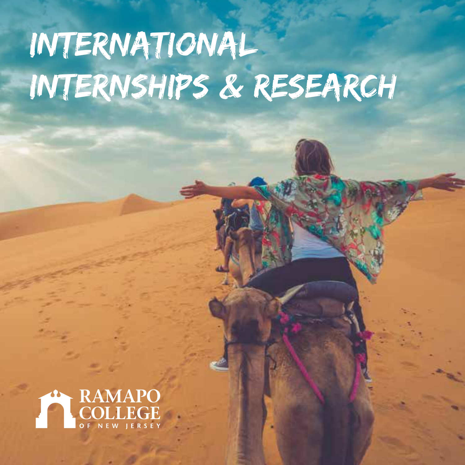# INTERNATIONAL INTERNSHIPS & RESEARCH

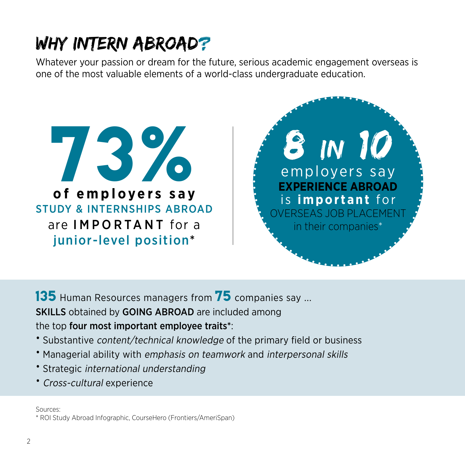# WHY INTERN ABROAD?

Whatever your passion or dream for the future, serious academic engagement overseas is one of the most valuable elements of a world-class undergraduate education.





**135** Human Resources managers from 75 companies say ... SKILLS obtained by GOING ABROAD are included among the top four most important employee traits\*:

- Substantive content/technical knowledge of the primary field or business
- Managerial ability with emphasis on teamwork and interpersonal skills
- Strategic international understanding
- Cross-cultural experience

Sources:

<sup>\*</sup> ROI Study Abroad Infographic, CourseHero (Frontiers/AmeriSpan)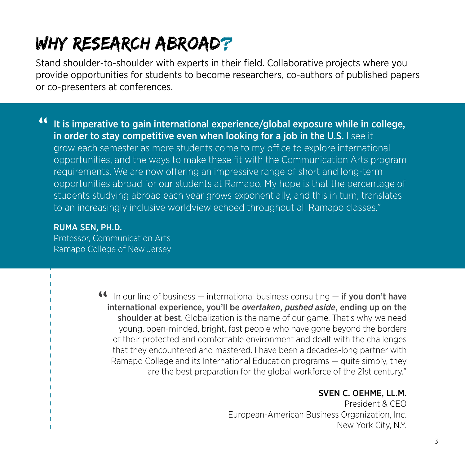# Why Research Abroad?

Stand shoulder-to-shoulder with experts in their field. Collaborative projects where you provide opportunities for students to become researchers, co-authors of published papers or co-presenters at conferences.

It is imperative to gain international experience/global exposure while in college,<br>in order to stay competitive even when looking for a job in the U.S. I see it<br>grow each semester as more students come to my office to exp in order to stay competitive even when looking for a job in the U.S. I see it grow each semester as more students come to my office to explore international opportunities, and the ways to make these fit with the Communication Arts program requirements. We are now offering an impressive range of short and long-term opportunities abroad for our students at Ramapo. My hope is that the percentage of students studying abroad each year grows exponentially, and this in turn, translates to an increasingly inclusive worldview echoed throughout all Ramapo classes."

#### RUMA SEN, PH.D.

Professor, Communication Arts Ramapo College of New Jersey

> In our line of business — international business consulting — if you don't have international experience, you'll be *overtaken*, *pushed aside*, ending up on the shoulder at best. Globalization is the name of our game. Th international experience, you'll be *overtaken*, *pushed aside*, ending up on the shoulder at best. Globalization is the name of our game. That's why we need young, open-minded, bright, fast people who have gone beyond the borders of their protected and comfortable environment and dealt with the challenges that they encountered and mastered. I have been a decades-long partner with Ramapo College and its International Education programs — quite simply, they are the best preparation for the global workforce of the 21st century."

#### SVEN C. OEHME, LL.M.

President & CEO European-American Business Organization, Inc. New York City, N.Y.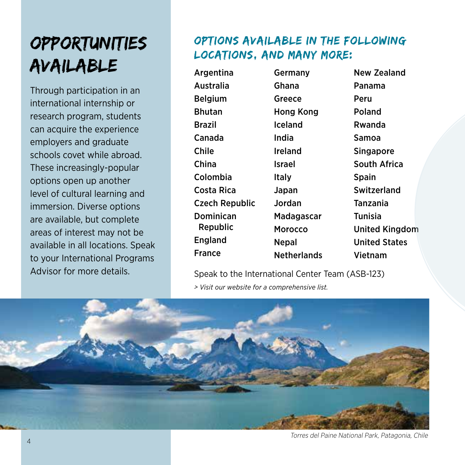# Opportunities available

Through participation in an international internship or research program, students can acquire the experience employers and graduate schools covet while abroad. These increasingly-popular options open up another level of cultural learning and immersion. Diverse options are available, but complete areas of interest may not be available in all locations. Speak to your International Programs Advisor for more details.

### Options available in the following locations, and many more:

| <b>Argentina</b>      | Germany            | New Zealand           |
|-----------------------|--------------------|-----------------------|
| Australia             | Ghana              | Panama                |
| <b>Belgium</b>        | Greece             | Peru                  |
| <b>Bhutan</b>         | <b>Hong Kong</b>   | Poland                |
| Brazil                | Iceland            | Rwanda                |
| Canada                | India              | Samoa                 |
| Chile                 | Ireland            | <b>Singapore</b>      |
| China                 | Israel             | South Africa          |
| Colombia              | Italy              | <b>Spain</b>          |
| Costa Rica            | Japan              | Switzerland           |
| <b>Czech Republic</b> | Jordan             | <b>Tanzania</b>       |
| Dominican             | Madagascar         | Tunisia               |
| Republic              | Morocco            | <b>United Kingdom</b> |
| England               | <b>Nepal</b>       | <b>United States</b>  |
| <b>France</b>         | <b>Netherlands</b> | Vietnam               |

Speak to the International Center Team (ASB-123) *> Visit our website for a comprehensive list.*



Torres del Paine National Park, Patagonia, Chile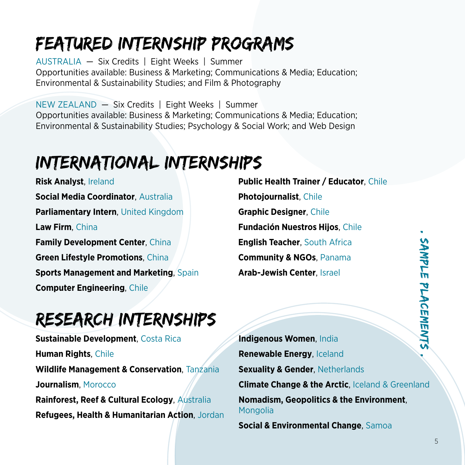# Featured Internship Programs

AUSTRALIA — Six Credits | Eight Weeks | Summer Opportunities available: Business & Marketing; Communications & Media; Education; Environmental & Sustainability Studies; and Film & Photography

NEW ZEALAND — Six Credits | Eight Weeks | Summer Opportunities available: Business & Marketing; Communications & Media; Education; Environmental & Sustainability Studies; Psychology & Social Work; and Web Design

### International Internships

**Risk Analyst**, Ireland **Social Media Coordinator**, Australia **Parliamentary Intern**, United Kingdom **Law Firm**, China **Family Development Center**, China **Green Lifestyle Promotions**, China **Sports Management and Marketing**, Spain **Computer Engineering**, Chile

**Public Health Trainer / Educator**, Chile **Photojournalist**, Chile **Graphic Designer**, Chile **Fundación Nuestros Hijos**, Chile **English Teacher**, South Africa **Community & NGOs**, Panama **Arab-Jewish Center**, Israel

## Research Internships

**Sustainable Development**, Costa Rica **Human Rights**, Chile **Wildlife Management & Conservation**, Tanzania **Journalism**, Morocco **Rainforest, Reef & Cultural Ecology**, Australia **Refugees, Health & Humanitarian Action**, Jordan

**Indigenous Women**, India **Renewable Energy**, Iceland **Sexuality & Gender, Netherlands Climate Change & the Arctic**, Iceland & Greenland **Nomadism, Geopolitics & the Environment**, **Mongolia Social & Environmental Change**, Samoa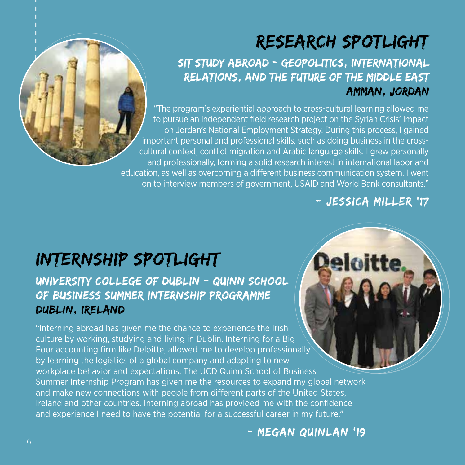# RESEARCH SPOTLIGHT

SIT Study Abroad - Geopolitics, International Relations, and the Future of the Middle East Amman, Jordan

"The program's experiential approach to cross-cultural learning allowed me to pursue an independent field research project on the Syrian Crisis' Impact on Jordan's National Employment Strategy. During this process, I gained important personal and professional skills, such as doing business in the crosscultural context, conflict migration and Arabic language skills. I grew personally and professionally, forming a solid research interest in international labor and education, as well as overcoming a different business communication system. I went on to interview members of government, USAID and World Bank consultants."

- Jessica Miller '17

# INTERNSHIP SPOTLIGHT

### UNIVERSITY COLLEGE OF DUBLIN - QUINN SCHOOL OF BUSINESS SUMMER INTERNSHIP PROGRAMME DUBLIN, IRELAND

"Interning abroad has given me the chance to experience the Irish culture by working, studying and living in Dublin. Interning for a Big Four accounting firm like Deloitte, allowed me to develop professionally by learning the logistics of a global company and adapting to new workplace behavior and expectations. The UCD Quinn School of Business Summer Internship Program has given me the resources to expand my global network and make new connections with people from different parts of the United States, Ireland and other countries. Interning abroad has provided me with the confidence and experience I need to have the potential for a successful career in my future."

- Megan Quinlan '19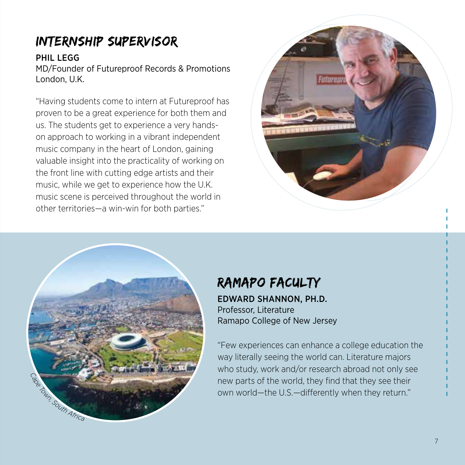### INTERNSHIP SUPERVISOR

#### PHIL LEGG

MD/Founder of Futureproof Records & Promotions London, U.K.

"Having students come to intern at Futureproof has proven to be a great experience for both them and us. The students get to experience a very handson approach to working in a vibrant independent music company in the heart of London, gaining valuable insight into the practicality of working on the front line with cutting edge artists and their music, while we get to experience how the U.K. music scene is perceived throughout the world in other territories—a win-win for both parties."





### RAMAPO FACULTY

EDWARD SHANNON, PH.D. Professor, Literature Ramapo College of New Jersey

"Few experiences can enhance a college education the way literally seeing the world can. Literature majors who study, work and/or research abroad not only see new parts of the world, they find that they see their own world—the U.S.—differently when they return."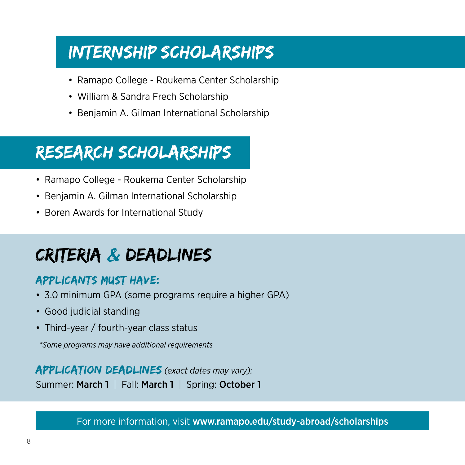### Internship Scholarships

- Ramapo College Roukema Center Scholarship
- William & Sandra Frech Scholarship
- Benjamin A. Gilman International Scholarship

# Research Scholarships

- Ramapo College Roukema Center Scholarship
- Benjamin A. Gilman International Scholarship
- Boren Awards for International Study

# Criteria & Deadlines

### APPLICANTS MUST HAVE:

- 3.0 minimum GPA (some programs require a higher GPA)
- Good judicial standing
- Third-year / fourth-year class status

 *\*Some programs may have additional requirements*

#### APPLICATION DEADLINES *(exact dates may vary):*

Summer: March 1 | Fall: March 1 | Spring: October 1

For more information, visit www.ramapo.edu/study-abroad/scholarships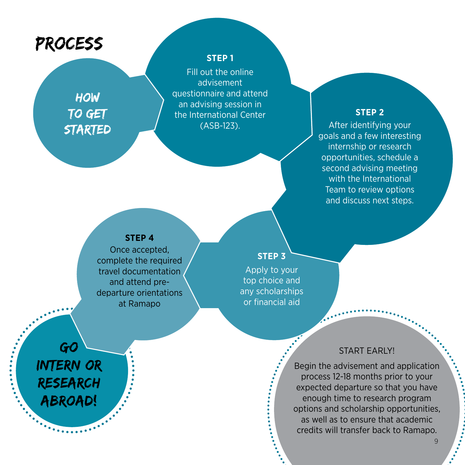### Process

Go intern or **RESEARCH** abroad!

**HOW** to get **STARTED** 

#### **STEP 1**

Fill out the online advisement questionnaire and attend an advising session in the International Center (ASB-123).

#### **STEP 2**

After identifying your goals and a few interesting internship or research opportunities, schedule a second advising meeting with the International Team to review options and discuss next steps.

#### **STEP 4**

Once accepted, complete the required travel documentation and attend predeparture orientations at Ramapo

#### **STEP 3**

Apply to your top choice and any scholarships or financial aid

#### START EARLY!

Begin the advisement and application process 12-18 months prior to your expected departure so that you have enough time to research program options and scholarship opportunities, as well as to ensure that academic credits will transfer back to Ramapo.

 $\overline{Q}$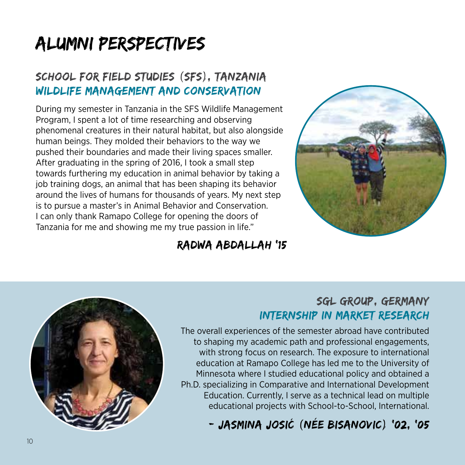# Alumni Perspectives

### SCHOOL FOR FIELD STUDIES (SFS), TANZANIA WILDLIFE MANAGEMENT AND CONSERVATION

During my semester in Tanzania in the SFS Wildlife Management Program, I spent a lot of time researching and observing phenomenal creatures in their natural habitat, but also alongside human beings. They molded their behaviors to the way we pushed their boundaries and made their living spaces smaller. After graduating in the spring of 2016, I took a small step towards furthering my education in animal behavior by taking a job training dogs, an animal that has been shaping its behavior around the lives of humans for thousands of years. My next step is to pursue a master's in Animal Behavior and Conservation. I can only thank Ramapo College for opening the doors of Tanzania for me and showing me my true passion in life."



Radwa Abdallah '15



### SGL GROUP, GERMANY INTERNSHIP IN MARKET RESEARCH

The overall experiences of the semester abroad have contributed to shaping my academic path and professional engagements, with strong focus on research. The exposure to international education at Ramapo College has led me to the University of Minnesota where I studied educational policy and obtained a Ph.D. specializing in Comparative and International Development Education. Currently, I serve as a technical lead on multiple educational projects with School-to-School, International.

- Jasmina Josic (née Bisanovic) '02, '05 ´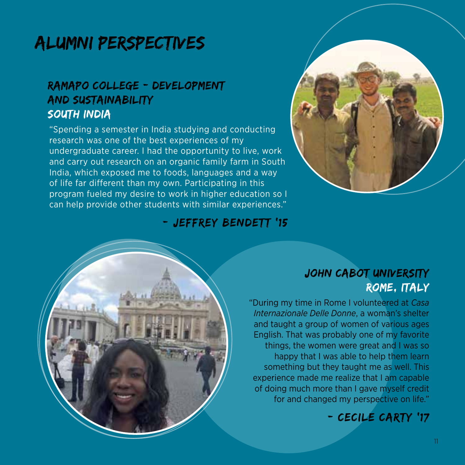### Alumni Perspectives

### RAMAPO COLLEGE - DEVELOPMENT AND SUSTAINABILITY SOUTH INDIA

"Spending a semester in India studying and conducting research was one of the best experiences of my undergraduate career. I had the opportunity to live, work and carry out research on an organic family farm in South India, which exposed me to foods, languages and a way of life far different than my own. Participating in this program fueled my desire to work in higher education so I can help provide other students with similar experiences."



- Jeffrey Bendett '15



### JOHN CABOT UNIVERSITY ROME, ITALY

"During my time in Rome I volunteered at *Casa Internazionale Delle Donne*, a woman's shelter and taught a group of women of various ages English. That was probably one of my favorite things, the women were great and I was so happy that I was able to help them learn something but they taught me as well. This experience made me realize that I am capable of doing much more than I gave myself credit for and changed my perspective on life."

- Cecile Carty '17